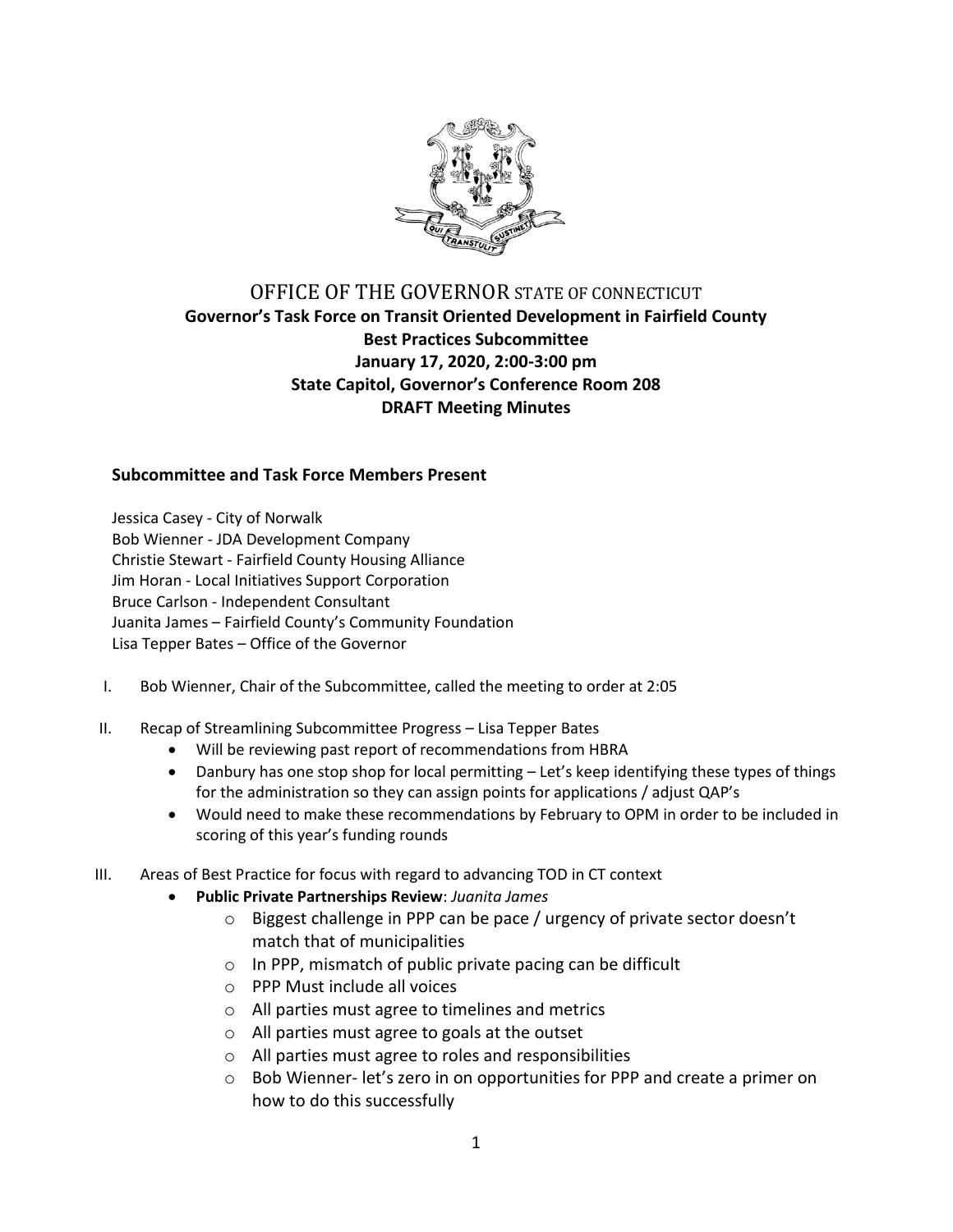

## OFFICE OF THE GOVERNOR STATE OF CONNECTICUT **Governor's Task Force on Transit Oriented Development in Fairfield County Best Practices Subcommittee January 17, 2020, 2:00-3:00 pm State Capitol, Governor's Conference Room 208 DRAFT Meeting Minutes**

## **Subcommittee and Task Force Members Present**

Jessica Casey - City of Norwalk Bob Wienner - JDA Development Company Christie Stewart - Fairfield County Housing Alliance Jim Horan - Local Initiatives Support Corporation Bruce Carlson - Independent Consultant Juanita James – Fairfield County's Community Foundation Lisa Tepper Bates – Office of the Governor

- I. Bob Wienner, Chair of the Subcommittee, called the meeting to order at 2:05
- II. Recap of Streamlining Subcommittee Progress Lisa Tepper Bates
	- Will be reviewing past report of recommendations from HBRA
	- Danbury has one stop shop for local permitting Let's keep identifying these types of things for the administration so they can assign points for applications / adjust QAP's
	- Would need to make these recommendations by February to OPM in order to be included in scoring of this year's funding rounds
- III. Areas of Best Practice for focus with regard to advancing TOD in CT context
	- **Public Private Partnerships Review**: *Juanita James*
		- o Biggest challenge in PPP can be pace / urgency of private sector doesn't match that of municipalities
		- o In PPP, mismatch of public private pacing can be difficult
		- o PPP Must include all voices
		- o All parties must agree to timelines and metrics
		- o All parties must agree to goals at the outset
		- o All parties must agree to roles and responsibilities
		- o Bob Wienner- let's zero in on opportunities for PPP and create a primer on how to do this successfully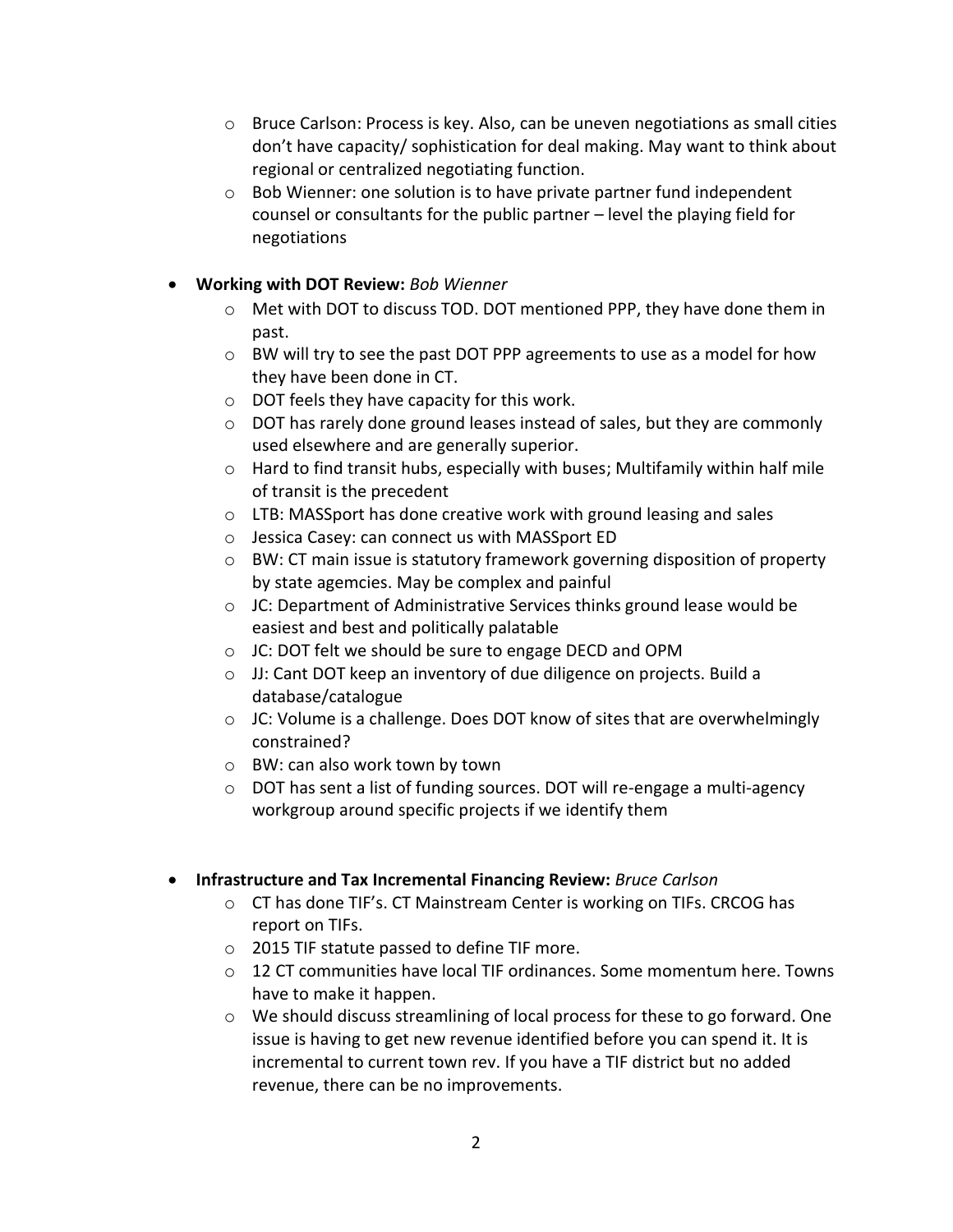- $\circ$  Bruce Carlson: Process is key. Also, can be uneven negotiations as small cities don't have capacity/ sophistication for deal making. May want to think about regional or centralized negotiating function.
- $\circ$  Bob Wienner: one solution is to have private partner fund independent counsel or consultants for the public partner – level the playing field for negotiations
- **Working with DOT Review:** *Bob Wienner*
	- o Met with DOT to discuss TOD. DOT mentioned PPP, they have done them in past.
	- o BW will try to see the past DOT PPP agreements to use as a model for how they have been done in CT.
	- o DOT feels they have capacity for this work.
	- $\circ$  DOT has rarely done ground leases instead of sales, but they are commonly used elsewhere and are generally superior.
	- $\circ$  Hard to find transit hubs, especially with buses; Multifamily within half mile of transit is the precedent
	- o LTB: MASSport has done creative work with ground leasing and sales
	- o Jessica Casey: can connect us with MASSport ED
	- $\circ$  BW: CT main issue is statutory framework governing disposition of property by state agemcies. May be complex and painful
	- $\circ$  JC: Department of Administrative Services thinks ground lease would be easiest and best and politically palatable
	- o JC: DOT felt we should be sure to engage DECD and OPM
	- o JJ: Cant DOT keep an inventory of due diligence on projects. Build a database/catalogue
	- $\circ$  JC: Volume is a challenge. Does DOT know of sites that are overwhelmingly constrained?
	- o BW: can also work town by town
	- o DOT has sent a list of funding sources. DOT will re-engage a multi-agency workgroup around specific projects if we identify them
- **Infrastructure and Tax Incremental Financing Review:** *Bruce Carlson* 
	- $\circ$  CT has done TIF's. CT Mainstream Center is working on TIFs. CRCOG has report on TIFs.
	- o 2015 TIF statute passed to define TIF more.
	- $\circ$  12 CT communities have local TIF ordinances. Some momentum here. Towns have to make it happen.
	- $\circ$  We should discuss streamlining of local process for these to go forward. One issue is having to get new revenue identified before you can spend it. It is incremental to current town rev. If you have a TIF district but no added revenue, there can be no improvements.